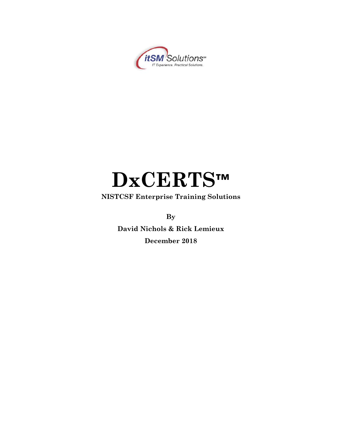

# **DxCERTS™**

**NISTCSF Enterprise Training Solutions**

**By**

**David Nichols & Rick Lemieux December 2018**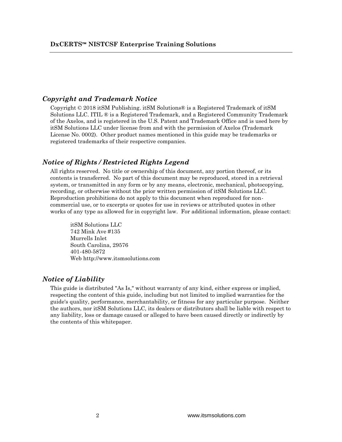#### *Copyright and Trademark Notice*

Copyright  $\odot$  2018 it SM Publishing. it SM Solutions  $\odot$  is a Registered Trademark of it SM Solutions LLC. ITIL ® is a Registered Trademark, and a Registered Community Trademark of the Axelos, and is registered in the U.S. Patent and Trademark Office and is used here by itSM Solutions LLC under license from and with the permission of Axelos (Trademark License No. 0002). Other product names mentioned in this guide may be trademarks or registered trademarks of their respective companies.

#### *Notice of Rights / Restricted Rights Legend*

All rights reserved. No title or ownership of this document, any portion thereof, or its contents is transferred. No part of this document may be reproduced, stored in a retrieval system, or transmitted in any form or by any means, electronic, mechanical, photocopying, recording, or otherwise without the prior written permission of itSM Solutions LLC. Reproduction prohibitions do not apply to this document when reproduced for noncommercial use, or to excerpts or quotes for use in reviews or attributed quotes in other works of any type as allowed for in copyright law. For additional information, please contact:

itSM Solutions LLC 742 Mink Ave #135 Murrells Inlet South Carolina, 29576 401-480-5872 Web http://www.itsmsolutions.com

#### *Notice of Liability*

This guide is distributed "As Is," without warranty of any kind, either express or implied, respecting the content of this guide, including but not limited to implied warranties for the guide's quality, performance, merchantability, or fitness for any particular purpose. Neither the authors, nor itSM Solutions LLC, its dealers or distributors shall be liable with respect to any liability, loss or damage caused or alleged to have been caused directly or indirectly by the contents of this whitepaper.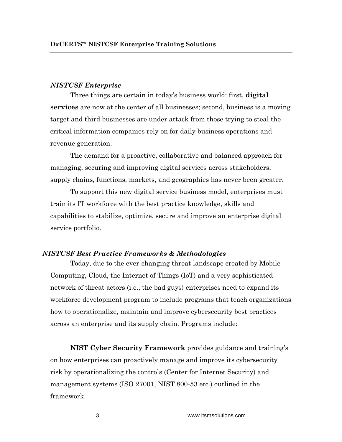#### *NISTCSF Enterprise*

Three things are certain in today's business world: first, **digital services** are now at the center of all businesses; second, business is a moving target and third businesses are under attack from those trying to steal the critical information companies rely on for daily business operations and revenue generation.

The demand for a proactive, collaborative and balanced approach for managing, securing and improving digital services across stakeholders, supply chains, functions, markets, and geographies has never been greater.

To support this new digital service business model, enterprises must train its IT workforce with the best practice knowledge, skills and capabilities to stabilize, optimize, secure and improve an enterprise digital service portfolio.

#### *NISTCSF Best Practice Frameworks & Methodologies*

Today, due to the ever-changing threat landscape created by Mobile Computing, Cloud, the Internet of Things (IoT) and a very sophisticated network of threat actors (i.e., the bad guys) enterprises need to expand its workforce development program to include programs that teach organizations how to operationalize, maintain and improve cybersecurity best practices across an enterprise and its supply chain. Programs include:

**NIST Cyber Security Framework** provides guidance and training's on how enterprises can proactively manage and improve its cybersecurity risk by operationalizing the controls (Center for Internet Security) and management systems (ISO 27001, NIST 800-53 etc.) outlined in the framework.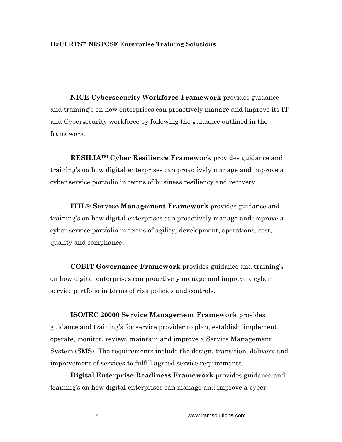**NICE Cybersecurity Workforce Framework** provides guidance and training's on how enterprises can proactively manage and improve its IT and Cybersecurity workforce by following the guidance outlined in the framework.

**RESILIA™ Cyber Resilience Framework** provides guidance and training's on how digital enterprises can proactively manage and improve a cyber service portfolio in terms of business resiliency and recovery.

**ITIL® Service Management Framework** provides guidance and training's on how digital enterprises can proactively manage and improve a cyber service portfolio in terms of agility, development, operations, cost, quality and compliance.

**COBIT Governance Framework** provides guidance and training's on how digital enterprises can proactively manage and improve a cyber service portfolio in terms of risk policies and controls.

**ISO/IEC 20000 Service Management Framework** provides guidance and training's for service provider to plan, establish, implement, operate, monitor, review, maintain and improve a Service Management System (SMS). The requirements include the design, transition, delivery and improvement of services to fulfill agreed service requirements.

**Digital Enterprise Readiness Framework** provides guidance and training's on how digital enterprises can manage and improve a cyber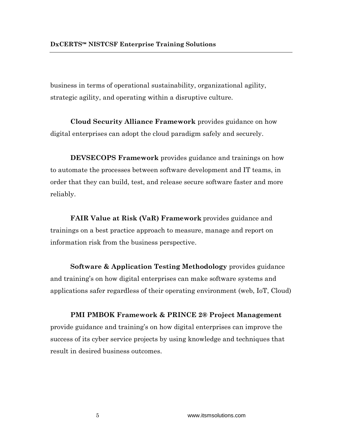business in terms of operational sustainability, organizational agility, strategic agility, and operating within a disruptive culture.

**Cloud Security Alliance Framework** provides guidance on how digital enterprises can adopt the cloud paradigm safely and securely.

**DEVSECOPS Framework** provides guidance and trainings on how to automate the processes between software development and IT teams, in order that they can build, test, and release secure software faster and more reliably.

**FAIR Value at Risk (VaR) Framework** provides guidance and trainings on a best practice approach to measure, manage and report on information risk from the business perspective.

**Software & Application Testing Methodology** provides guidance and training's on how digital enterprises can make software systems and applications safer regardless of their operating environment (web, IoT, Cloud)

**PMI PMBOK Framework & PRINCE 2® Project Management**  provide guidance and training's on how digital enterprises can improve the success of its cyber service projects by using knowledge and techniques that result in desired business outcomes.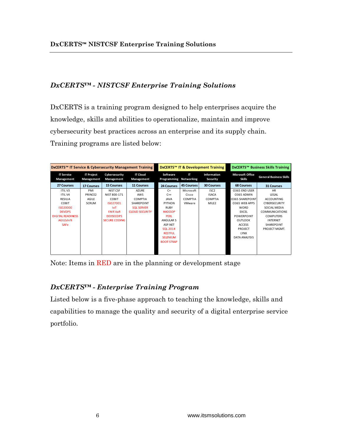# *DxCERTS™ - NISTCSF Enterprise Training Solutions*

DxCERTS is a training program designed to help enterprises acquire the knowledge, skills and abilities to operationalize, maintain and improve cybersecurity best practices across an enterprise and its supply chain. Training programs are listed below:

| DxCERTS™ IT Service & Cybersecurity Management Training<br>DxCERTS™ IT & Development Training                                                                                                                                                                                    | DxCERTS™ Business Skills Training |  |
|----------------------------------------------------------------------------------------------------------------------------------------------------------------------------------------------------------------------------------------------------------------------------------|-----------------------------------|--|
| <b>IT Cloud</b><br>Information<br><b>Microsoft Office</b><br><b>IT Service</b><br><b>IT Project</b><br>Cybersecurity<br>Software<br>ΙT<br><b>General Business Skills</b><br>Skills<br>Management<br>Management<br>Programming Networking<br>Security<br>Management<br>Management |                                   |  |
| <b>15 Courses</b><br><b>11 Courses</b><br><b>45 Courses</b><br><b>30 Courses</b><br><b>68 Courses</b><br>27 Courses<br><b>17 Courses</b><br><b>24 Courses</b><br><b>31 Courses</b>                                                                                               |                                   |  |
| O365 END USER<br><b>HR</b><br><b>ITILV3</b><br>PMI<br>NIST CSF<br><b>AZURE</b><br>$C+$<br>Microsoft<br>ISC <sub>2</sub>                                                                                                                                                          |                                   |  |
| <b>ITILV4</b><br>NIST 800-171<br>0365 ADMIN<br>LEGAL<br>PRINCE2<br>AWS<br><b>ISACA</b><br>$C++$<br>Cisco                                                                                                                                                                         |                                   |  |
| <b>RESILIA</b><br>COBIT<br>COMPTIA<br><b>COMPTIA</b><br><b>COMPTIA</b><br><b>0365 SHAREPOINT</b><br>AGILE<br><b>JAVA</b><br><b>ACCOUNTING</b>                                                                                                                                    |                                   |  |
| COBIT<br><b>SCRUM</b><br>SHAREPOINT<br>VMware<br>MILE <sub>2</sub><br>0365 WEB APPS<br>ISO27001<br><b>PYTHON</b><br><b>CYBERSECURITY</b>                                                                                                                                         |                                   |  |
| <b>RUBY</b><br><b>WORD</b><br>ISO20000<br>IoT<br><b>SQL SERVER</b><br>SOCIAL MEDIA                                                                                                                                                                                               |                                   |  |
| <b>DEVOPS</b><br><b>FAIR VaR</b><br><b>CLOUD SECURITY</b><br><b>HADOOP</b><br><b>EXCEL</b><br><b>COMMUNICATIONS</b>                                                                                                                                                              |                                   |  |
| <b>DIGITAL READINESS</b><br><b>PERL</b><br><b>POWERPOINT</b><br><b>DEVSECOPS</b><br><b>COMPUTERS</b>                                                                                                                                                                             |                                   |  |
| AGILEshift<br><b>SECURE CODING</b><br>ANGULAR 5<br><b>OUTLOOK</b><br><b>INTERNET</b>                                                                                                                                                                                             |                                   |  |
| <b>SAFe</b><br>ASP.NET<br><b>ACCESS</b><br>SHAREPOINT                                                                                                                                                                                                                            |                                   |  |
| <b>SQL 2014</b><br>PROJECT<br>PROJECT MGMT.                                                                                                                                                                                                                                      |                                   |  |
| <b>RESTFUL</b><br><b>LYNX</b>                                                                                                                                                                                                                                                    |                                   |  |
| <b>SELENIUM</b><br>DATA ANALYSIS                                                                                                                                                                                                                                                 |                                   |  |
| <b>BOOT STRAP</b>                                                                                                                                                                                                                                                                |                                   |  |
|                                                                                                                                                                                                                                                                                  |                                   |  |
|                                                                                                                                                                                                                                                                                  |                                   |  |

Note: Items in RED are in the planning or development stage

# *DxCERTS™ - Enterprise Training Program*

Listed below is a five-phase approach to teaching the knowledge, skills and capabilities to manage the quality and security of a digital enterprise service portfolio.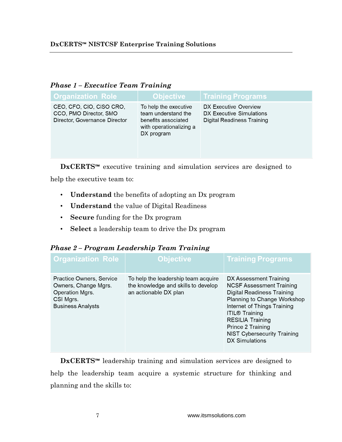| <b>Organization Role</b>                                                            | <b>Objective</b>                                                                                             | <b>Training Programs</b>                                                        |
|-------------------------------------------------------------------------------------|--------------------------------------------------------------------------------------------------------------|---------------------------------------------------------------------------------|
| CEO, CFO, CIO, CISO CRO,<br>CCO, PMO Director, SMO<br>Director, Governance Director | To help the executive<br>team understand the<br>benefits associated<br>with operationalizing a<br>DX program | DX Executive Overview<br>DX Executive Simulations<br>Digital Readiness Training |

# *Phase 1 – Executive Team Training*

**DxCERTS™** executive training and simulation services are designed to

help the executive team to:

- **Understand** the benefits of adopting an Dx program
- **Understand** the value of Digital Readiness
- **Secure** funding for the Dx program
- **Select** a leadership team to drive the Dx program

## *Phase 2 – Program Leadership Team Training*

| <b>Organization Role</b>                                                                                     | Objective <sup>®</sup>                                                                              | <b>Training Programs</b>                                                                                                                                                                                                                                                                      |
|--------------------------------------------------------------------------------------------------------------|-----------------------------------------------------------------------------------------------------|-----------------------------------------------------------------------------------------------------------------------------------------------------------------------------------------------------------------------------------------------------------------------------------------------|
| Practice Owners, Service<br>Owners, Change Mgrs.<br>Operation Mgrs.<br>CSI Mgrs.<br><b>Business Analysts</b> | To help the leadership team acquire<br>the knowledge and skills to develop<br>an actionable DX plan | DX Assessment Training<br><b>NCSF Assessment Training</b><br>Digital Readiness Training<br>Planning to Change Workshop<br>Internet of Things Training<br><b>ITIL® Training</b><br><b>RESILIA Training</b><br>Prince 2 Training<br><b>NIST Cybersecurity Training</b><br><b>DX Simulations</b> |

**DxCERTS™** leadership training and simulation services are designed to help the leadership team acquire a systemic structure for thinking and planning and the skills to: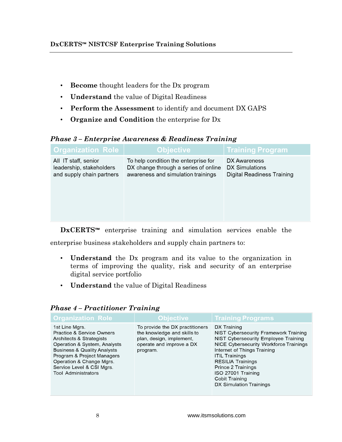- **Become** thought leaders for the Dx program
- **Understand** the value of Digital Readiness
- **Perform the Assessment** to identify and document DX GAPS
- **Organize and Condition** the enterprise for Dx

# *Phase 3 – Enterprise Awareness & Readiness Training*

| <b>Organization Role</b>                                                      | <b>Objective</b>                                                                                                   | <b>Training Program</b>                                             |
|-------------------------------------------------------------------------------|--------------------------------------------------------------------------------------------------------------------|---------------------------------------------------------------------|
| All IT staff, senior<br>leadership, stakeholders<br>and supply chain partners | To help condition the enterprise for<br>DX change through a series of online<br>awareness and simulation trainings | DX Awareness<br>DX Simulations<br><b>Digital Readiness Training</b> |
|                                                                               |                                                                                                                    |                                                                     |

**DxCERTS™** enterprise training and simulation services enable the enterprise business stakeholders and supply chain partners to:

- **Understand** the Dx program and its value to the organization in terms of improving the quality, risk and security of an enterprise digital service portfolio
- **Understand** the value of Digital Readiness

| <b>Organization Role</b>                                                                                                                                                                                                                                                          | Objective <sup>1</sup>                                                                                                             | <b>Training Programs</b>                                                                                                                                                                                                                                                                                            |
|-----------------------------------------------------------------------------------------------------------------------------------------------------------------------------------------------------------------------------------------------------------------------------------|------------------------------------------------------------------------------------------------------------------------------------|---------------------------------------------------------------------------------------------------------------------------------------------------------------------------------------------------------------------------------------------------------------------------------------------------------------------|
| 1st Line Mgrs.<br><b>Practice &amp; Service Owners</b><br>Architects & Strategists<br>Operation & System, Analysts<br><b>Business &amp; Quality Analysts</b><br>Program & Project Managers<br>Operation & Change Mgrs.<br>Service Level & CSI Mgrs.<br><b>Tool Administrators</b> | To provide the DX practitioners<br>the knowledge and skills to<br>plan, design, implement,<br>operate and improve a DX<br>program. | DX Training<br>NIST Cybersecurity Framework Training<br>NIST Cybersecurity Employee Training<br>NICE Cybersecurity Workforce Trainings<br>Internet of Things Training<br><b>ITIL Trainings</b><br><b>RESILIA Trainings</b><br>Prince 2 Trainings<br>ISO 27001 Training<br>Cobit Training<br>DX Simulation Trainings |

## *Phase 4 – Practitioner Training*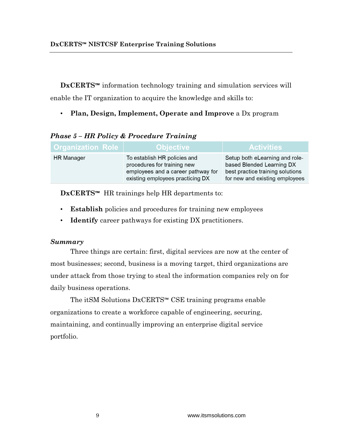**DxCERTS™** information technology training and simulation services will enable the IT organization to acquire the knowledge and skills to:

• **Plan, Design, Implement, Operate and Improve** a Dx program

| <b>Organization Role</b> | ∣ Objective i                                                                                                                         | <b>Activities</b>                                                                                                                 |
|--------------------------|---------------------------------------------------------------------------------------------------------------------------------------|-----------------------------------------------------------------------------------------------------------------------------------|
| <b>HR</b> Manager        | To establish HR policies and<br>procedures for training new<br>employees and a career pathway for<br>existing employees practicing DX | Setup both eLearning and role-<br>based Blended Learning DX<br>best practice training solutions<br>for new and existing employees |

# *Phase 5 – HR Policy & Procedure Training*

**DxCERTS™** HR trainings help HR departments to:

- **Establish** policies and procedures for training new employees
- **Identify** career pathways for existing DX practitioners.

## *Summary*

Three things are certain: first, digital services are now at the center of most businesses; second, business is a moving target, third organizations are under attack from those trying to steal the information companies rely on for daily business operations.

The itSM Solutions DxCERTS™ CSE training programs enable organizations to create a workforce capable of engineering, securing, maintaining, and continually improving an enterprise digital service portfolio.